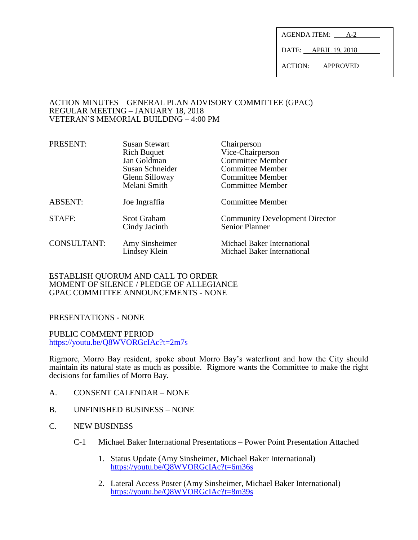AGENDA ITEM: A-2

DATE: APRIL 19, 2018

ACTION: APPROVED

#### ACTION MINUTES – GENERAL PLAN ADVISORY COMMITTEE (GPAC) REGULAR MEETING – JANUARY 18, 2018 VETERAN'S MEMORIAL BUILDING – 4:00 PM

| PRESENT:           | <b>Susan Stewart</b>                | Chairperson                                                    |
|--------------------|-------------------------------------|----------------------------------------------------------------|
|                    | <b>Rich Buquet</b>                  | Vice-Chairperson                                               |
|                    | Jan Goldman                         | <b>Committee Member</b>                                        |
|                    | Susan Schneider                     | <b>Committee Member</b>                                        |
|                    | Glenn Silloway                      | <b>Committee Member</b>                                        |
|                    | Melani Smith                        | <b>Committee Member</b>                                        |
| <b>ABSENT:</b>     | Joe Ingraffia                       | <b>Committee Member</b>                                        |
| STAFF:             | <b>Scot Graham</b><br>Cindy Jacinth | <b>Community Development Director</b><br><b>Senior Planner</b> |
| <b>CONSULTANT:</b> | Amy Sinsheimer<br>Lindsey Klein     | Michael Baker International<br>Michael Baker International     |

## ESTABLISH QUORUM AND CALL TO ORDER MOMENT OF SILENCE / PLEDGE OF ALLEGIANCE GPAC COMMITTEE ANNOUNCEMENTS - NONE

# PRESENTATIONS - NONE

PUBLIC COMMENT PERIOD <https://youtu.be/Q8WVORGcIAc?t=2m7s>

Rigmore, Morro Bay resident, spoke about Morro Bay's waterfront and how the City should maintain its natural state as much as possible. Rigmore wants the Committee to make the right decisions for families of Morro Bay.

- A. CONSENT CALENDAR NONE
- B. UNFINISHED BUSINESS NONE
- C. NEW BUSINESS
	- C-1 Michael Baker International Presentations Power Point Presentation Attached
		- 1. Status Update (Amy Sinsheimer, Michael Baker International) <https://youtu.be/Q8WVORGcIAc?t=6m36s>
		- 2. Lateral Access Poster (Amy Sinsheimer, Michael Baker International) <https://youtu.be/Q8WVORGcIAc?t=8m39s>